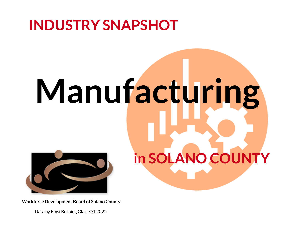# **INDUSTRY SNAPSHOT**

# **Manufacturing in SOLANO COUNTY**



Data by Emsi Burning Glass Q1 2022



### **Workforce Development Board of Solano County**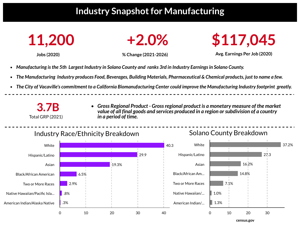# **Industry Snapshotfor Manufacturing**





**Jobs (2020) % Change (2021-2026)**

**Avg. Earnings Per Job (2020)**

The City of Vacaville's commitment to a California Biomanufacturing Center could improve the Manufacturing Industry footprint greatly.



- *Manufacturing isthe 5th Largest Industry in Solano County and ranks 3rd in Industry Earningsin Solano County.*
- The Manufacturing Industry produces Food, Beverages, Building Materials, Pharmaceutical & Chemical products, just to name a few.
- 

*Gross Regional Product - Grossregional product is a monetary measure of the market value of all final goods and services produced in a region orsubdivision of a country in a period of time.*